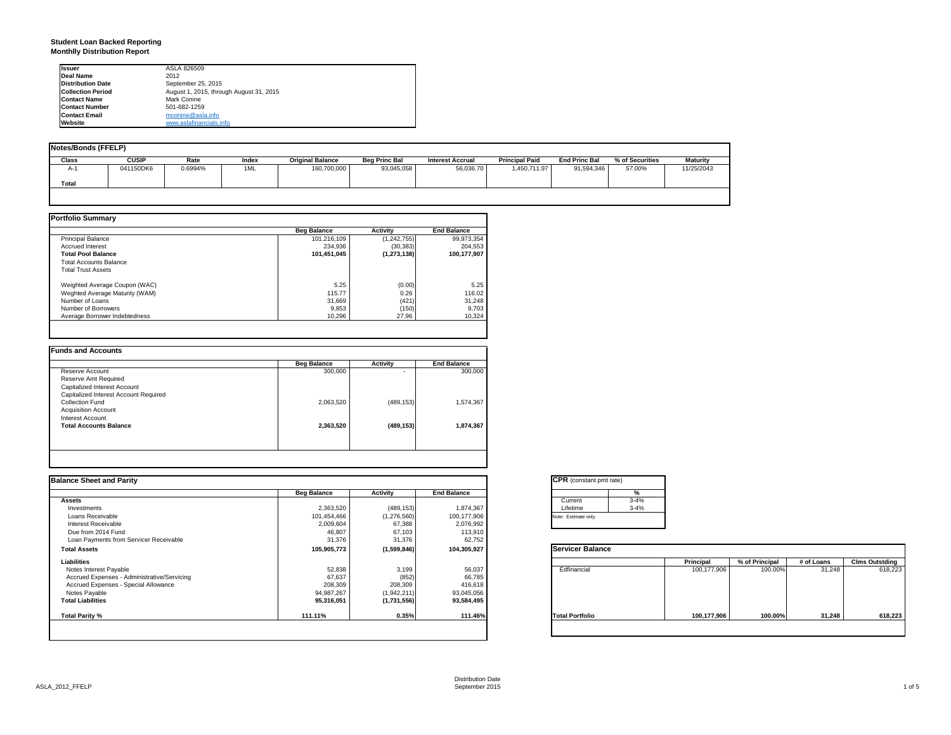# **Student Loan Backed Reporting Monthlly Distribution Report**

| <b>Issuer</b>            | ASLA 826509                             |
|--------------------------|-----------------------------------------|
| Deal Name                | 2012                                    |
| <b>Distribution Date</b> | September 25, 2015                      |
| <b>Collection Period</b> | August 1, 2015, through August 31, 2015 |
| <b>Contact Name</b>      | Mark Conine                             |
| <b>Contact Number</b>    | 501-682-1259                            |
| <b>Contact Email</b>     | mconine@asla.info                       |
| Website                  | www.aslafinancials.info                 |

| Notes/Bonds (FFELP) |              |         |       |                         |                      |                         |                       |                      |                 |                 |
|---------------------|--------------|---------|-------|-------------------------|----------------------|-------------------------|-----------------------|----------------------|-----------------|-----------------|
| Class               | <b>CUSIP</b> | Rate    | Index | <b>Original Balance</b> | <b>Beg Princ Bal</b> | <b>Interest Accrual</b> | <b>Principal Paid</b> | <b>End Princ Bal</b> | % of Securities | <b>Maturity</b> |
| A-'                 | 041150DK6    | 0.6994% | 1ML   | 160,700,000             | 93,045,058           | 56,036.70               | 1,450,711.97          | 91,594,346           | 57.00%          | 11/25/2043      |
| Total               |              |         |       |                         |                      |                         |                       |                      |                 |                 |
|                     |              |         |       |                         |                      |                         |                       |                      |                 |                 |

|                                | <b>Beg Balance</b> | <b>Activity</b> | <b>End Balance</b> |
|--------------------------------|--------------------|-----------------|--------------------|
| <b>Principal Balance</b>       | 101.216.109        | (1,242,755)     | 99,973,354         |
| <b>Accrued Interest</b>        | 234.936            | (30, 383)       | 204,553            |
| <b>Total Pool Balance</b>      | 101,451,045        | (1, 273, 138)   | 100,177,907        |
| <b>Total Accounts Balance</b>  |                    |                 |                    |
| <b>Total Trust Assets</b>      |                    |                 |                    |
| Weighted Average Coupon (WAC)  | 5.25               | (0.00)          | 5.25               |
| Weghted Average Maturity (WAM) | 115.77             | 0.26            | 116.02             |
| Number of Loans                | 31,669             | (421)           | 31,248             |
| Number of Borrowers            | 9,853              | (150)           | 9,703              |
| Average Borrower Indebtedness  | 10.296             | 27.96           | 10,324             |

| 300,000   | ٠          | 300,000   |
|-----------|------------|-----------|
|           |            |           |
|           |            |           |
|           |            |           |
| 2,063,520 | (489, 153) | 1,574,367 |
|           |            |           |
|           |            |           |
| 2,363,520 | (489, 153) | 1,874,367 |
|           |            |           |
|           |            |           |

|                    |                 |                    | <b>CPR</b> (constant pmt rate)        |             |                |            |                       |
|--------------------|-----------------|--------------------|---------------------------------------|-------------|----------------|------------|-----------------------|
| <b>Beg Balance</b> | <b>Activity</b> | <b>End Balance</b> | %                                     |             |                |            |                       |
|                    |                 |                    | $3 - 4%$<br>Current                   |             |                |            |                       |
|                    |                 |                    | $3 - 4%$<br>Lifetime                  |             |                |            |                       |
| 101,454,466        | (1,276,560)     |                    | Note: Estimate only.                  |             |                |            |                       |
| 2,009,604          | 67,388          |                    |                                       |             |                |            |                       |
| 46,807             | 67,103          | 113,910            |                                       |             |                |            |                       |
| 31,376             | 31,376          | 62,752             |                                       |             |                |            |                       |
| 105,905,773        | (1,599,846)     | 104,305,927        | Servicer Balance                      |             |                |            |                       |
|                    |                 |                    |                                       | Principal   | % of Principal | # of Loans | <b>Clms Outstding</b> |
| 52,838             | 3,199           | 56,037             | Edfinancial                           | 100,177,906 | 100.00%        | 31,248     | 618,223               |
| 67,637             | (852)           | 66,785             |                                       |             |                |            |                       |
| 208,309            | 208,309         | 416,618            |                                       |             |                |            |                       |
| 94,987,267         | (1,942,211)     | 93,045,056         |                                       |             |                |            |                       |
| 95,316,051         | (1,731,556)     | 93,584,495         |                                       |             |                |            |                       |
| 111.11%            | 0.35%           | 111.46%            | <b>Total Portfolio</b>                | 100,177,906 | 100.00%        | 31,248     | 618,223               |
|                    | 2,363,520       | (489, 153)         | 1,874,367<br>100,177,906<br>2,076,992 |             |                |            |                       |

| Current  | $3 - 4%$ |
|----------|----------|
| Lifetime | $3 - 4%$ |

|                        | Principal   | % of Principal | # of Loans | <b>Clms Outstding</b> |
|------------------------|-------------|----------------|------------|-----------------------|
| Edfinancial            | 100,177,906 | 100.00%        | 31,248     | 618,223               |
| <b>Total Portfolio</b> | 100,177,906 | 100.00%        | 31,248     | 618,223               |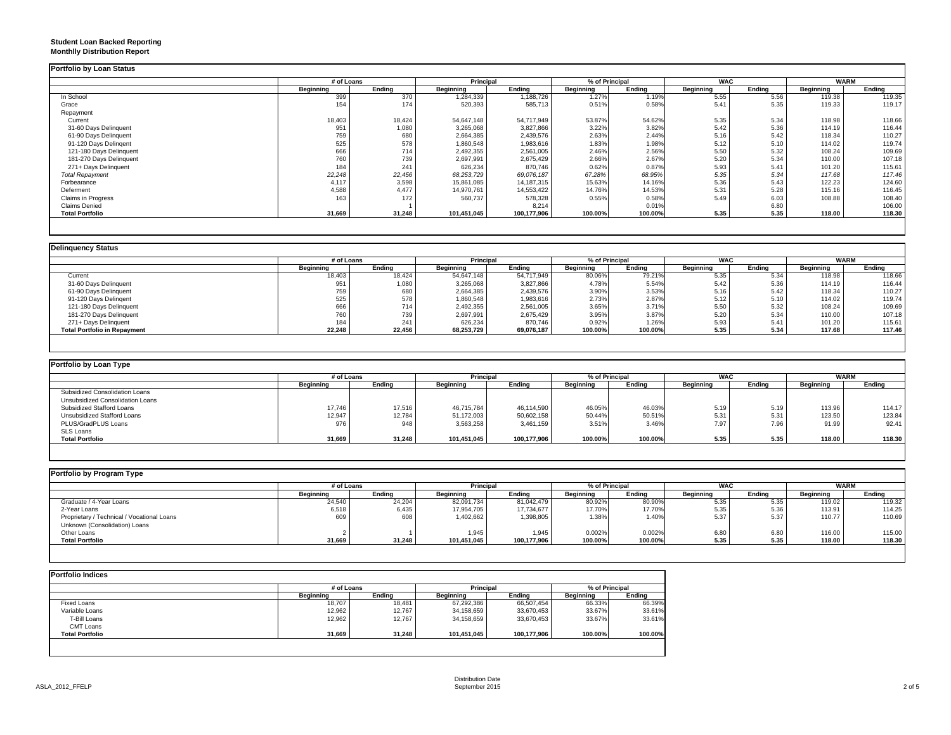## **Student Loan Backed Reporting Monthlly Distribution Report**

|                         | # of Loans |        | Principal        |             | % of Principal   |         | <b>WAC</b>       |        | <b>WARM</b>      |        |
|-------------------------|------------|--------|------------------|-------------|------------------|---------|------------------|--------|------------------|--------|
|                         | Beginning  | Endina | <b>Beginning</b> | Ending      | <b>Beginning</b> | Ending  | <b>Beginning</b> | Ending | <b>Beginning</b> | Endina |
| In School               | 399        | 370    | 1,284,339        | 1,188,726   | 1.27%            | 1.19%   | 5.55             | 5.56   | 119.38           | 119.35 |
| Grace                   | 154        | 174    | 520,393          | 585,713     | 0.51%            | 0.58%   | 5.41             | 5.35   | 119.33           | 119.17 |
| Repayment               |            |        |                  |             |                  |         |                  |        |                  |        |
| Current                 | 18,403     | 18,424 | 54,647,148       | 54,717,949  | 53.87%           | 54.62%  | 5.35             | 5.34   | 118.98           | 118.66 |
| 31-60 Days Delinquent   | 951        | 1,080  | 3,265,068        | 3,827,866   | 3.22%            | 3.82%   | 5.42             | 5.36   | 114.19           | 116.44 |
| 61-90 Days Delinquent   | 759        | 680    | 2,664,385        | 2,439,576   | 2.63%            | 2.44%   | 5.16             | 5.42   | 118.34           | 110.27 |
| 91-120 Days Delingent   | 525        | 578    | 1,860,548        | 1,983,616   | 1.83%            | 1.98%   | 5.12             | 5.10   | 114.02           | 119.74 |
| 121-180 Days Delinquent | 666        | 714    | 2,492,355        | 2,561,005   | 2.46%            | 2.56%   | 5.50             | 5.32   | 108.24           | 109.69 |
| 181-270 Days Delinquent | 760        | 739    | 2,697,991        | 2,675,429   | 2.66%            | 2.67%   | 5.20             | 5.34   | 110.00           | 107.18 |
| 271+ Days Delinquent    | 184        | 241    | 626,234          | 870,746     | 0.62%            | 0.87%   | 5.93             | 5.41   | 101.20           | 115.61 |
| <b>Total Repayment</b>  | 22,248     | 22,456 | 68,253,729       | 69,076,187  | 67.28%           | 68.95%  | 5.35             | 5.34   | 117.68           | 117.46 |
| Forbearance             | 4.117      | 3,598  | 15,861,085       | 14,187,315  | 15.63%           | 14.16%  | 5.36             | 5.43   | 122.23           | 124.60 |
| Deferment               | 4,588      | 4,477  | 14,970,761       | 14,553,422  | 14.76%           | 14.53%  | 5.31             | 5.28   | 115.16           | 116.45 |
| Claims in Progress      | 163        | 172    | 560,737          | 578,328     | 0.55%            | 0.58%   | 5.49             | 6.03   | 108.88           | 108.40 |
| <b>Claims Denied</b>    |            |        |                  | 8.214       |                  | 0.01%   |                  | 6.80   |                  | 106.00 |
| <b>Total Portfolio</b>  | 31,669     | 31,248 | 101,451,045      | 100,177,906 | 100.00%          | 100.00% | 5.35             | 5.35   | 118.00           | 118.30 |

| <b>Delinquency Status</b>           |            |        |                  |            |                |         |                  |        |             |        |
|-------------------------------------|------------|--------|------------------|------------|----------------|---------|------------------|--------|-------------|--------|
|                                     | # of Loans |        | Principal        |            | % of Principal |         | <b>WAC</b>       |        | <b>WARM</b> |        |
|                                     | Beginning  | Endina | <b>Beginning</b> | Ending     | Beginning      | Ending  | <b>Beginning</b> | Endina | Beginning   | Endina |
| Current                             | 18,403     | 18,424 | 54,647,148       | 54,717,949 | 80.06%         | 79.21%  | 5.35             | 5.34   | 118.98      | 118.66 |
| 31-60 Days Delinquent               | 951        | 1,080  | 3,265,068        | 3,827,866  | 4.78%          | 5.54%   | 5.42             | 5.36   | 114.19      | 116.44 |
| 61-90 Days Delinquent               | 759        | 680    | 2,664,385        | 2,439,576  | 3.90%          | 3.53%   | 5.16             | 5.42   | 118.34      | 110.27 |
| 91-120 Days Delingent               | 525        | 578    | 1,860,548        | 1,983,616  | 2.73%          | 2.87%   | 5.12             | 5.10   | 114.02      | 119.74 |
| 121-180 Days Delinquent             | 666        | 714    | 2,492,355        | 2,561,005  | 3.65%          | 3.71%   | 5.50             | 5.32   | 108.24      | 109.69 |
| 181-270 Days Delinquent             | 760        | 739    | 2,697,991        | 2,675,429  | 3.95%          | 3.87%   | 5.20             | 5.34   | 110.00      | 107.18 |
| 271+ Days Delinguent                | 184        | 241    | 626,234          | 870,746    | 0.92%          | 1.26%   | 5.93             | 5.41   | 101.20      | 115.61 |
| <b>Total Portfolio in Repayment</b> | 22,248     | 22,456 | 68,253,729       | 69,076,187 | 100.00%        | 100.00% | 5.35             | 5.34   | 117.68      | 117.46 |

| Portfolio by Loan Type           |           |            |                  |             |                  |         |            |        |                  |        |
|----------------------------------|-----------|------------|------------------|-------------|------------------|---------|------------|--------|------------------|--------|
|                                  |           | # of Loans |                  | Principal   | % of Principal   |         | <b>WAC</b> |        | <b>WARM</b>      |        |
|                                  | Beainnina | Endina     | <b>Beainning</b> | Endina      | <b>Beginning</b> | Endina  | Beainnina  | Endina | <b>Beginning</b> | Endina |
| Subsidized Consolidation Loans   |           |            |                  |             |                  |         |            |        |                  |        |
| Unsubsidized Consolidation Loans |           |            |                  |             |                  |         |            |        |                  |        |
| Subsidized Stafford Loans        | 17,746    | 17,516     | 46.715.784       | 46.114.590  | 46.05%           | 46.03%  | 5.19       | 5.19   | 113.96           | 114.17 |
| Unsubsidized Stafford Loans      | 12,947    | 12,784     | 51,172,003       | 50,602,158  | 50.44%           | 50.51%  | 5.31       | 5.31   | 123.50           | 123.84 |
| PLUS/GradPLUS Loans              | 976       | 948        | 3,563,258        | 3,461,159   | 3.51%            | 3.46%   | 7.97       | 7.96   | 91.99            | 92.41  |
| SLS Loans                        |           |            |                  |             |                  |         |            |        |                  |        |
| <b>Total Portfolio</b>           | 31,669    | 31,248     | 101,451,045      | 100,177,906 | 100.00%          | 100.00% | 5.35       | 5.35   | 118.00           | 118.30 |

| Portfolio by Program Type                  |                  |            |                  |             |                  |         |            |        |                  |             |  |
|--------------------------------------------|------------------|------------|------------------|-------------|------------------|---------|------------|--------|------------------|-------------|--|
|                                            |                  | # of Loans |                  | Principal   | % of Principal   |         | <b>WAC</b> |        |                  | <b>WARM</b> |  |
|                                            | <b>Beginning</b> | Ending     | <b>Beainning</b> | Endina      | <b>Beginning</b> | Ending  | Beainnina  | Endina | <b>Beginning</b> | Ending      |  |
| Graduate / 4-Year Loans                    | 24,540           | 24,204     | 82,091,734       | 81,042,479  | 80.92%           | 80.90%  | 5.35       | 5.35   | 119.02           | 119.32      |  |
| 2-Year Loans                               | 6,518            | 6,435      | 17,954,705       | 17,734,677  | 17.70%           | 17.70%  | 5.35       | 5.36   | 113.91           | 114.25      |  |
| Proprietary / Technical / Vocational Loans | 609              | 608        | 1,402,662        | 1,398,805   | 1.38%            | 1.40%   | 5.37       | 5.37   | 110.77           | 110.69      |  |
| Unknown (Consolidation) Loans              |                  |            |                  |             |                  |         |            |        |                  |             |  |
| Other Loans                                |                  |            | 1.945            | 1.945       | 0.002%           | 0.002%  | 6.80       | 6.80   | 116.00           | 115.00      |  |
| <b>Total Portfolio</b>                     | 31,669           | 31,248     | 101,451,045      | 100,177,906 | 100.00%          | 100.00% | 5.35       | 5.35   | 118.00           | 118.30      |  |

|                        | # of Loans |        | Principal        |             | % of Principal |         |
|------------------------|------------|--------|------------------|-------------|----------------|---------|
|                        | Beginning  | Ending | <b>Beginning</b> | Endina      | Beginning      | Ending  |
| Fixed Loans            | 18,707     | 18,481 | 67,292,386       | 66,507,454  | 66.33%         | 66.39%  |
| Variable Loans         | 12,962     | 12,767 | 34,158,659       | 33,670,453  | 33.67%         | 33.61%  |
| T-Bill Loans           | 12,962     | 12,767 | 34,158,659       | 33,670,453  | 33.67%         | 33.61%  |
| CMT Loans              |            |        |                  |             |                |         |
| <b>Total Portfolio</b> | 31,669     | 31,248 | 101,451,045      | 100,177,906 | 100.00%        | 100.00% |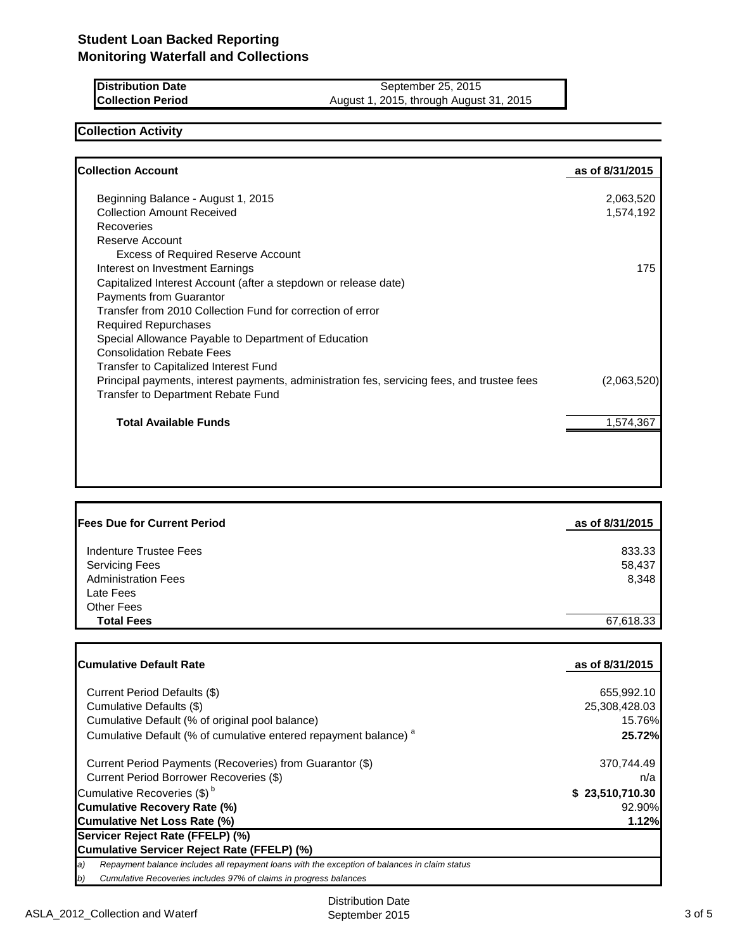| <b>IDistribution Date</b> | September 25, 2015                      |
|---------------------------|-----------------------------------------|
| <b>Collection Period</b>  | August 1, 2015, through August 31, 2015 |

### **Collection Activity**

| <b>Collection Account</b>                                                                   | as of 8/31/2015 |
|---------------------------------------------------------------------------------------------|-----------------|
| Beginning Balance - August 1, 2015                                                          | 2,063,520       |
| <b>Collection Amount Received</b>                                                           | 1,574,192       |
| Recoveries                                                                                  |                 |
| Reserve Account                                                                             |                 |
| <b>Excess of Required Reserve Account</b>                                                   |                 |
| Interest on Investment Earnings                                                             | 175             |
| Capitalized Interest Account (after a stepdown or release date)                             |                 |
| Payments from Guarantor                                                                     |                 |
| Transfer from 2010 Collection Fund for correction of error                                  |                 |
| <b>Required Repurchases</b>                                                                 |                 |
| Special Allowance Payable to Department of Education                                        |                 |
| <b>Consolidation Rebate Fees</b>                                                            |                 |
| Transfer to Capitalized Interest Fund                                                       |                 |
| Principal payments, interest payments, administration fes, servicing fees, and trustee fees | (2,063,520)     |
| <b>Transfer to Department Rebate Fund</b>                                                   |                 |
| <b>Total Available Funds</b>                                                                | 1,574,367       |

| <b>IFees Due for Current Period</b> | as of 8/31/2015 |
|-------------------------------------|-----------------|
|                                     |                 |
| Indenture Trustee Fees              | 833.33          |
| <b>Servicing Fees</b>               | 58,437          |
| <b>Administration Fees</b>          | 8,348           |
| Late Fees                           |                 |
| Other Fees                          |                 |
| <b>Total Fees</b>                   | 67,618.33       |
|                                     |                 |

| lCumulative Default Rate                                                                            | as of 8/31/2015 |
|-----------------------------------------------------------------------------------------------------|-----------------|
|                                                                                                     |                 |
| Current Period Defaults (\$)                                                                        | 655,992.10      |
| Cumulative Defaults (\$)                                                                            | 25,308,428.03   |
| Cumulative Default (% of original pool balance)                                                     | 15.76%          |
| Cumulative Default (% of cumulative entered repayment balance) <sup>a</sup>                         | 25.72%          |
| Current Period Payments (Recoveries) from Guarantor (\$)                                            | 370,744.49      |
| Current Period Borrower Recoveries (\$)                                                             | n/a             |
| Cumulative Recoveries (\$) <sup>b</sup>                                                             | \$23,510,710.30 |
| <b>Cumulative Recovery Rate (%)</b>                                                                 | 92.90%          |
| Cumulative Net Loss Rate (%)                                                                        | 1.12%           |
| Servicer Reject Rate (FFELP) (%)                                                                    |                 |
| Cumulative Servicer Reject Rate (FFELP) (%)                                                         |                 |
| a)<br>Repayment balance includes all repayment loans with the exception of balances in claim status |                 |
| b)<br>Cumulative Recoveries includes 97% of claims in progress balances                             |                 |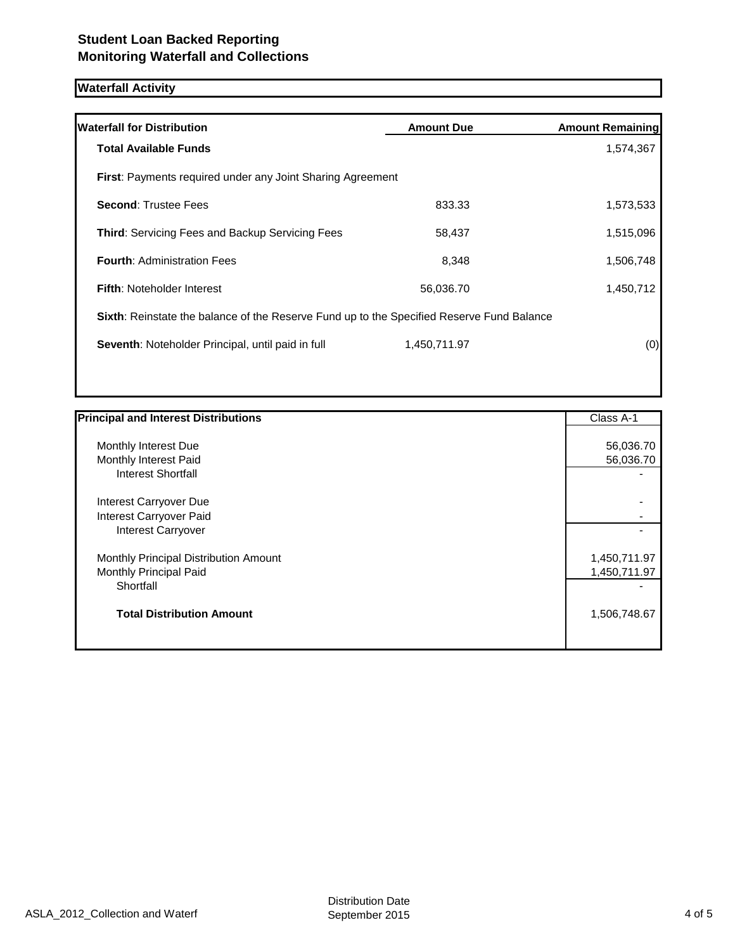### **Waterfall Activity**

| <b>Waterfall for Distribution</b>                                                         | <b>Amount Due</b> | <b>Amount Remaining</b> |
|-------------------------------------------------------------------------------------------|-------------------|-------------------------|
| <b>Total Available Funds</b>                                                              |                   | 1,574,367               |
| <b>First:</b> Payments required under any Joint Sharing Agreement                         |                   |                         |
| <b>Second: Trustee Fees</b>                                                               | 833.33            | 1,573,533               |
| <b>Third: Servicing Fees and Backup Servicing Fees</b>                                    | 58,437            | 1,515,096               |
| <b>Fourth: Administration Fees</b>                                                        | 8,348             | 1,506,748               |
| <b>Fifth: Noteholder Interest</b>                                                         | 56,036.70         | 1,450,712               |
| Sixth: Reinstate the balance of the Reserve Fund up to the Specified Reserve Fund Balance |                   |                         |
| Seventh: Noteholder Principal, until paid in full                                         | 1,450,711.97      | (0)                     |
|                                                                                           |                   |                         |

| <b>Principal and Interest Distributions</b> | Class A-1    |
|---------------------------------------------|--------------|
| Monthly Interest Due                        | 56,036.70    |
| Monthly Interest Paid                       | 56,036.70    |
| <b>Interest Shortfall</b>                   |              |
| Interest Carryover Due                      |              |
| Interest Carryover Paid                     |              |
| Interest Carryover                          |              |
| Monthly Principal Distribution Amount       | 1,450,711.97 |
| Monthly Principal Paid                      | 1,450,711.97 |
| Shortfall                                   |              |
| <b>Total Distribution Amount</b>            | 1,506,748.67 |
|                                             |              |